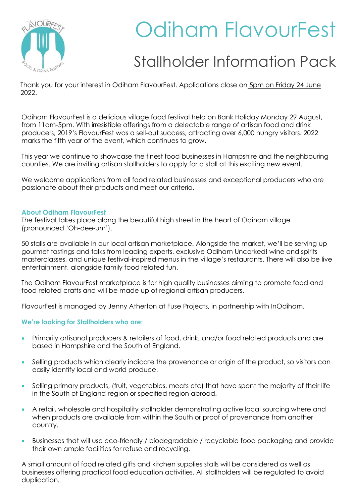

# Odiham FlavourFest

# Stallholder Information Pack

Thank you for your interest in Odiham FlavourFest. Applications close on 5pm on Friday 24 June 2022.

Odiham FlavourFest is a delicious village food festival held on Bank Holiday Monday 29 August, from 11am-5pm. With irresistible offerings from a delectable range of artisan food and drink producers, 2019's FlavourFest was a sell-out success, attracting over 6,000 hungry visitors. 2022 marks the fifth year of the event, which continues to grow.

This year we continue to showcase the finest food businesses in Hampshire and the neighbouring counties. We are inviting artisan stallholders to apply for a stall at this exciting new event.

We welcome applications from all food related businesses and exceptional producers who are passionate about their products and meet our criteria.

# **About Odiham FlavourFest**

The festival takes place along the beautiful high street in the heart of Odiham village (pronounced 'Oh-dee-um').

50 stalls are available in our local artisan marketplace. Alongside the market, we'll be serving up gourmet tastings and talks from leading experts, exclusive Odiham Uncorked! wine and spirits masterclasses, and unique festival-inspired menus in the village's restaurants. There will also be live entertainment, alongside family food related fun.

The Odiham FlavourFest marketplace is for high quality businesses aiming to promote food and food related crafts and will be made up of regional artisan producers.

FlavourFest is managed by Jenny Atherton at Fuse Projects, in partnership with InOdiham.

# **We're looking for Stallholders who are:**

- Primarily artisanal producers & retailers of food, drink, and/or food related products and are based in Hampshire and the South of England.
- Selling products which clearly indicate the provenance or origin of the product, so visitors can easily identify local and world produce.
- Selling primary products, (fruit, vegetables, meats etc) that have spent the majority of their life in the South of England region or specified region abroad.
- A retail, wholesale and hospitality stallholder demonstrating active local sourcing where and when products are available from within the South or proof of provenance from another country.
- Businesses that will use eco-friendly / biodegradable / recyclable food packaging and provide their own ample facilities for refuse and recycling.

A small amount of food related gifts and kitchen supplies stalls will be considered as well as businesses offering practical food education activities. All stallholders will be regulated to avoid duplication.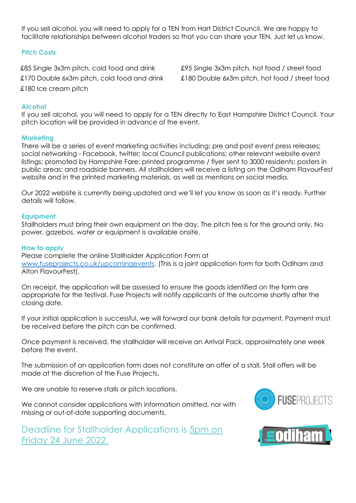If you sell alcohol, you will need to apply for a TEN from Hart District Council. We are happy to facilitate relationships between alcohol traders so that you can share your TEN. Just let us know.

# **Pitch Costs**

£85 Single 3x3m pitch, cold food and drink £95 Single 3x3m pitch, hot food / street food £180 Ice cream pitch

£170 Double 6x3m pitch, cold food and drink £180 Double 6x3m pitch, hot food / street food

# **Alcohol**

If you sell alcohol, you will need to apply for a TEN directly to East Hampshire District Council. Your pitch location will be provided in advance of the event.

# **Marketing**

There will be a series of event marketing activities including: pre and post event press releases; social networking - Facebook, twitter; local Council publications; other relevant website event listings; promoted by Hampshire Fare; printed programme / flyer sent to 3000 residents; posters in public areas; and roadside banners. All stallholders will receive a listing on the Odiham FlavourFest website and in the printed marketing materials, as well as mentions on social media.

Our 2022 website is currently being updated and we'll let you know as soon as it's ready. Further details will follow.

# **Equipment**

Stallholders must bring their own equipment on the day. The pitch fee is for the ground only. No power, gazebos, water or equipment is available onsite.

# **How to apply**

Please complete the online Stallholder Application Form at [www.fuseprojects.co.uk/upcomingevents.](http://www.fuseprojects.co.uk/upcomingevents) (This is a joint application form for both Odiham and Alton FlavourFest).

On receipt, the application will be assessed to ensure the goods identified on the form are appropriate for the festival. Fuse Projects will notify applicants of the outcome shortly after the closing date.

If your initial application is successful, we will forward our bank details for payment. Payment must be received before the pitch can be confirmed.

Once payment is received, the stallholder will receive an Arrival Pack, approximately one week before the event.

The submission of an application form does not constitute an offer of a stall. Stall offers will be made at the discretion of the Fuse Projects.

We are unable to reserve stalls or pitch locations.

We cannot consider applications with information omitted, nor with missing or out-of-date supporting documents.





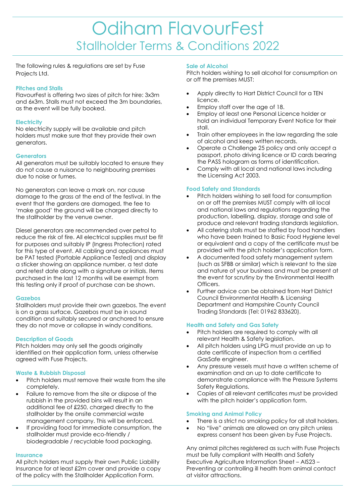The following rules & regulations are set by Fuse Projects Ltd.

# **Pitches and Stalls**

FlavourFest is offering two sizes of pitch for hire: 3x3m and 6x3m. Stalls must not exceed the 3m boundaries, as the event will be fully booked.

# **Electricity**

No electricity supply will be available and pitch holders must make sure that they provide their own generators.

# **Generators**

All generators must be suitably located to ensure they do not cause a nuisance to neighbouring premises due to noise or fumes.

No generators can leave a mark on, nor cause damage to the grass at the end of the festival. In the event that the gardens are damaged, the fee to 'make good' the ground will be charged directly to the stallholder by the venue owner.

Diesel generators are recommended over petrol to reduce the risk of fire. All electrical supplies must be fit for purposes and suitably IP (Ingress Protection) rated for this type of event. All cabling and appliances must be PAT tested (Portable Appliance Tested) and display a sticker showing an appliance number, a test date and retest date along with a signature or initials. Items purchased in the last 12 months will be exempt from this testing only if proof of purchase can be shown.

#### **Gazebos**

Stallholders must provide their own gazebos. The event is on a grass surface. Gazebos must be in sound condition and suitably secured or anchored to ensure they do not move or collapse in windy conditions.

# **Description of Goods**

Pitch holders may only sell the goods originally identified on their application form, unless otherwise agreed with Fuse Projects.

#### **Waste & Rubbish Disposal**

- Pitch holders must remove their waste from the site completely.
- Failure to remove from the site or dispose of the rubbish in the provided bins will result in an additional fee of £250, charged directly to the stallholder by the onsite commercial waste management company. This will be enforced.
- If providing food for immediate consumption, the stallholder must provide eco-friendly / biodegradable / recyclable food packaging.

#### **Insurance**

All pitch holders must supply their own Public Liability Insurance for at least £2m cover and provide a copy of the policy with the Stallholder Application Form.

## **Sale of Alcohol**

Pitch holders wishing to sell alcohol for consumption on or off the premises MUST:

- Apply directly to Hart District Council for a TEN licence.
- Employ staff over the age of 18.
- Employ at least one Personal Licence holder or hold an individual Temporary Event Notice for their stall.
- Train other employees in the law regarding the sale of alcohol and keep written records.
- Operate a Challenge 25 policy and only accept a passport, photo driving licence or ID cards bearing the PASS hologram as forms of identification.
- Comply with all local and national laws including the Licensing Act 2003.

# **Food Safety and Standards**

- Pitch holders wishing to sell food for consumption on or off the premises MUST comply with all local and national laws and regulations regarding the production, labelling, display, storage and sale of produce and relevant trading standards legislation.
- All catering stalls must be staffed by food handlers who have been trained to Basic Food Hygiene level or equivalent and a copy of the certificate must be provided with the pitch holder's application form.
- A documented food safety management system (such as SFBB or similar) which is relevant to the size and nature of your business and must be present at the event for scrutiny by the Environmental Health Officers.
- Further advice can be obtained from Hart District Council Environmental Health & Licensing Department and Hampshire County Council Trading Standards (Tel: 01962 833620).

#### **Health and Safety and Gas Safety**

- Pitch holders are required to comply with all relevant Health & Safety legislation.
- All pitch holders using LPG must provide an up to date certificate of inspection from a certified GasSafe engineer.
- Any pressure vessels must have a written scheme of examination and an up to date certificate to demonstrate compliance with the Pressure Systems Safety Regulations.
- Copies of all relevant certificates must be provided with the pitch holder's application form.

# **Smoking and Animal Policy**

- There is a strict no smoking policy for all stall holders.
- No "live" animals are allowed on any pitch unless express consent has been given by Fuse Projects.

Any animal pitches registered as such with Fuse Projects must be fully compliant with Health and Safety Executive Agriculture Information Sheet – AIS23 – Preventing or controlling ill health from animal contact at visitor attractions.